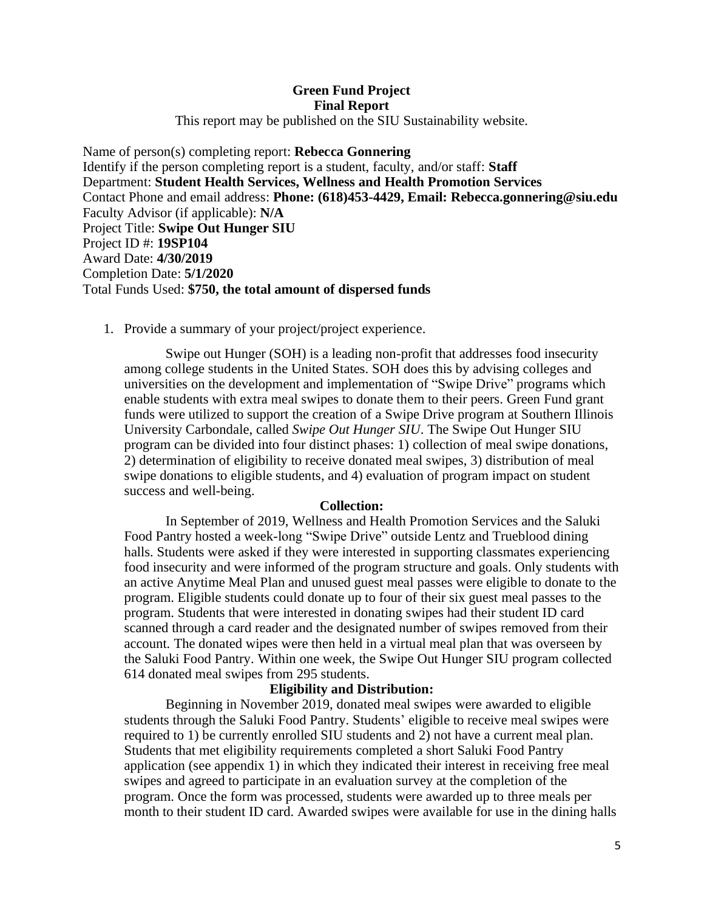# **Green Fund Project Final Report**

This report may be published on the SIU Sustainability website.

Name of person(s) completing report: **Rebecca Gonnering** Identify if the person completing report is a student, faculty, and/or staff: **Staff** Department: **Student Health Services, Wellness and Health Promotion Services**  Contact Phone and email address: **Phone: (618)453-4429, Email: Rebecca.gonnering@siu.edu** Faculty Advisor (if applicable): **N/A** Project Title: **Swipe Out Hunger SIU** Project ID #: **19SP104** Award Date: **4/30/2019** Completion Date: **5/1/2020** Total Funds Used: **\$750, the total amount of dispersed funds**

# 1. Provide a summary of your project/project experience.

Swipe out Hunger (SOH) is a leading non-profit that addresses food insecurity among college students in the United States. SOH does this by advising colleges and universities on the development and implementation of "Swipe Drive" programs which enable students with extra meal swipes to donate them to their peers. Green Fund grant funds were utilized to support the creation of a Swipe Drive program at Southern Illinois University Carbondale, called *Swipe Out Hunger SIU*. The Swipe Out Hunger SIU program can be divided into four distinct phases: 1) collection of meal swipe donations, 2) determination of eligibility to receive donated meal swipes, 3) distribution of meal swipe donations to eligible students, and 4) evaluation of program impact on student success and well-being.

### **Collection:**

In September of 2019, Wellness and Health Promotion Services and the Saluki Food Pantry hosted a week-long "Swipe Drive" outside Lentz and Trueblood dining halls. Students were asked if they were interested in supporting classmates experiencing food insecurity and were informed of the program structure and goals. Only students with an active Anytime Meal Plan and unused guest meal passes were eligible to donate to the program. Eligible students could donate up to four of their six guest meal passes to the program. Students that were interested in donating swipes had their student ID card scanned through a card reader and the designated number of swipes removed from their account. The donated wipes were then held in a virtual meal plan that was overseen by the Saluki Food Pantry. Within one week, the Swipe Out Hunger SIU program collected 614 donated meal swipes from 295 students.

### **Eligibility and Distribution:**

Beginning in November 2019, donated meal swipes were awarded to eligible students through the Saluki Food Pantry. Students' eligible to receive meal swipes were required to 1) be currently enrolled SIU students and 2) not have a current meal plan. Students that met eligibility requirements completed a short Saluki Food Pantry application (see appendix 1) in which they indicated their interest in receiving free meal swipes and agreed to participate in an evaluation survey at the completion of the program. Once the form was processed, students were awarded up to three meals per month to their student ID card. Awarded swipes were available for use in the dining halls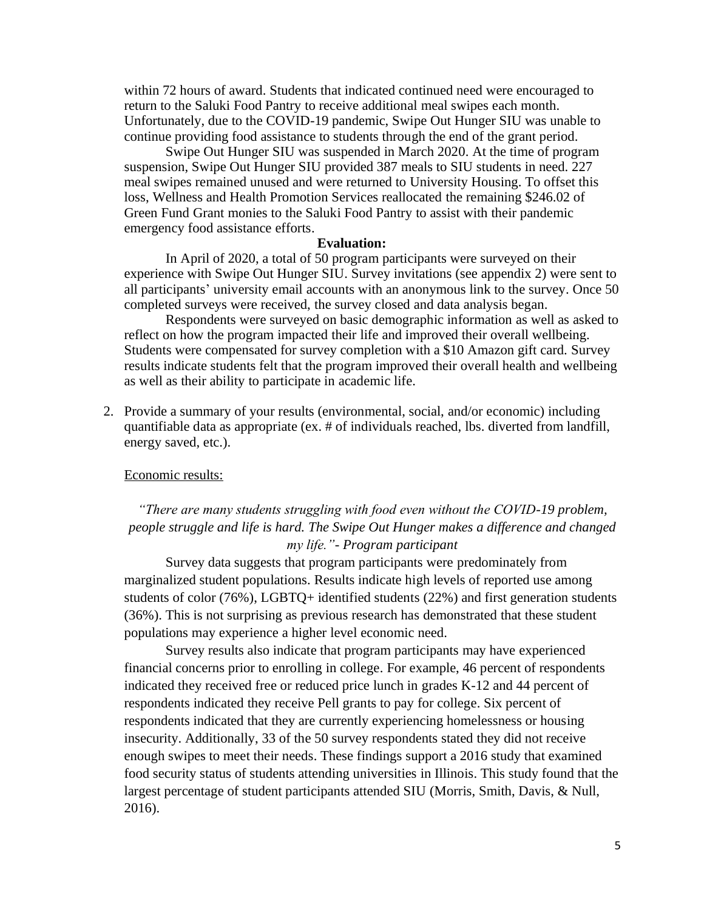within 72 hours of award. Students that indicated continued need were encouraged to return to the Saluki Food Pantry to receive additional meal swipes each month. Unfortunately, due to the COVID-19 pandemic, Swipe Out Hunger SIU was unable to continue providing food assistance to students through the end of the grant period.

Swipe Out Hunger SIU was suspended in March 2020. At the time of program suspension, Swipe Out Hunger SIU provided 387 meals to SIU students in need. 227 meal swipes remained unused and were returned to University Housing. To offset this loss, Wellness and Health Promotion Services reallocated the remaining \$246.02 of Green Fund Grant monies to the Saluki Food Pantry to assist with their pandemic emergency food assistance efforts.

#### **Evaluation:**

In April of 2020, a total of 50 program participants were surveyed on their experience with Swipe Out Hunger SIU. Survey invitations (see appendix 2) were sent to all participants' university email accounts with an anonymous link to the survey. Once 50 completed surveys were received, the survey closed and data analysis began.

Respondents were surveyed on basic demographic information as well as asked to reflect on how the program impacted their life and improved their overall wellbeing. Students were compensated for survey completion with a \$10 Amazon gift card. Survey results indicate students felt that the program improved their overall health and wellbeing as well as their ability to participate in academic life.

2. Provide a summary of your results (environmental, social, and/or economic) including quantifiable data as appropriate (ex. # of individuals reached, lbs. diverted from landfill, energy saved, etc.).

### Economic results:

# *"There are many students struggling with food even without the COVID-19 problem, people struggle and life is hard. The Swipe Out Hunger makes a difference and changed my life."- Program participant*

Survey data suggests that program participants were predominately from marginalized student populations. Results indicate high levels of reported use among students of color (76%), LGBTQ+ identified students (22%) and first generation students (36%). This is not surprising as previous research has demonstrated that these student populations may experience a higher level economic need.

Survey results also indicate that program participants may have experienced financial concerns prior to enrolling in college. For example, 46 percent of respondents indicated they received free or reduced price lunch in grades K-12 and 44 percent of respondents indicated they receive Pell grants to pay for college. Six percent of respondents indicated that they are currently experiencing homelessness or housing insecurity. Additionally, 33 of the 50 survey respondents stated they did not receive enough swipes to meet their needs. These findings support a 2016 study that examined food security status of students attending universities in Illinois. This study found that the largest percentage of student participants attended SIU (Morris, Smith, Davis, & Null, 2016).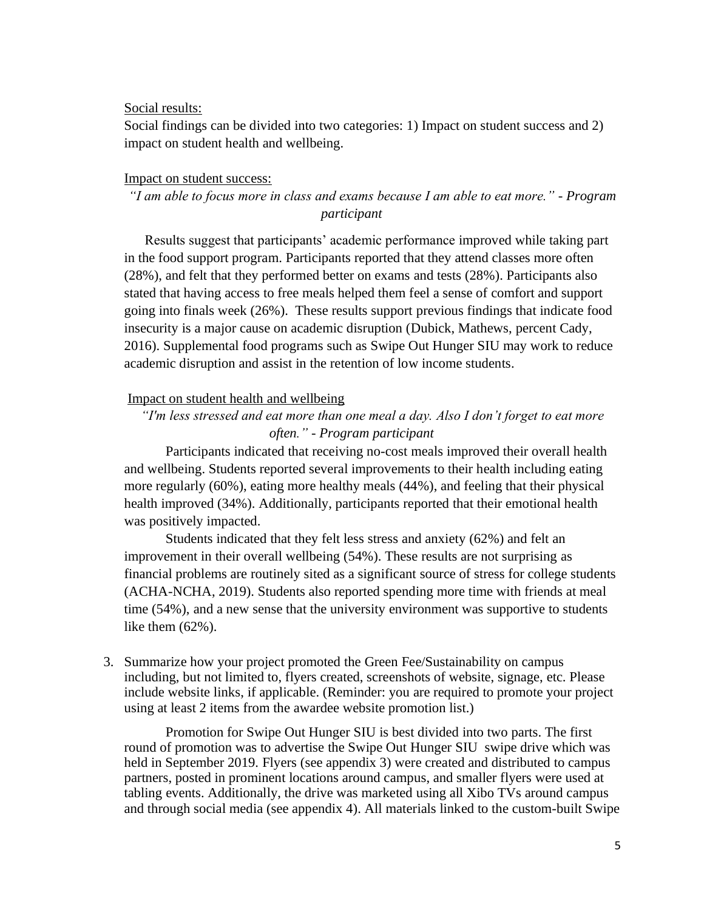### Social results:

Social findings can be divided into two categories: 1) Impact on student success and 2) impact on student health and wellbeing.

## Impact on student success:

*"I am able to focus more in class and exams because I am able to eat more." - Program participant*

Results suggest that participants' academic performance improved while taking part in the food support program. Participants reported that they attend classes more often (28%), and felt that they performed better on exams and tests (28%). Participants also stated that having access to free meals helped them feel a sense of comfort and support going into finals week (26%). These results support previous findings that indicate food insecurity is a major cause on academic disruption (Dubick, Mathews, percent Cady, 2016). Supplemental food programs such as Swipe Out Hunger SIU may work to reduce academic disruption and assist in the retention of low income students.

## Impact on student health and wellbeing

# *"I'm less stressed and eat more than one meal a day. Also I don't forget to eat more often." - Program participant*

Participants indicated that receiving no-cost meals improved their overall health and wellbeing. Students reported several improvements to their health including eating more regularly (60%), eating more healthy meals (44%), and feeling that their physical health improved (34%). Additionally, participants reported that their emotional health was positively impacted.

Students indicated that they felt less stress and anxiety (62%) and felt an improvement in their overall wellbeing (54%). These results are not surprising as financial problems are routinely sited as a significant source of stress for college students (ACHA-NCHA, 2019). Students also reported spending more time with friends at meal time (54%), and a new sense that the university environment was supportive to students like them (62%).

3. Summarize how your project promoted the Green Fee/Sustainability on campus including, but not limited to, flyers created, screenshots of website, signage, etc. Please include website links, if applicable. (Reminder: you are required to promote your project using at least 2 items from the awardee website promotion list.)

Promotion for Swipe Out Hunger SIU is best divided into two parts. The first round of promotion was to advertise the Swipe Out Hunger SIU swipe drive which was held in September 2019. Flyers (see appendix 3) were created and distributed to campus partners, posted in prominent locations around campus, and smaller flyers were used at tabling events. Additionally, the drive was marketed using all Xibo TVs around campus and through social media (see appendix 4). All materials linked to the custom-built Swipe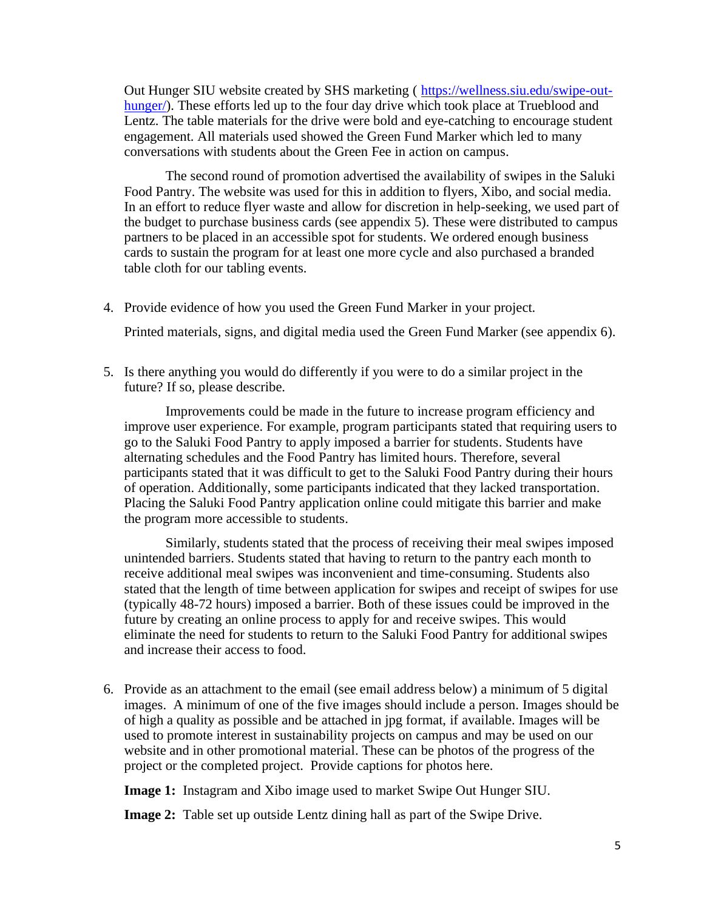Out Hunger SIU website created by SHS marketing ( https://wellness.siu.edu/swipe-outhunger/). These efforts led up to the four day drive which took place at Trueblood and Lentz. The table materials for the drive were bold and eye-catching to encourage student engagement. All materials used showed the Green Fund Marker which led to many conversations with students about the Green Fee in action on campus.

The second round of promotion advertised the availability of swipes in the Saluki Food Pantry. The website was used for this in addition to flyers, Xibo, and social media. In an effort to reduce flyer waste and allow for discretion in help-seeking, we used part of the budget to purchase business cards (see appendix 5). These were distributed to campus partners to be placed in an accessible spot for students. We ordered enough business cards to sustain the program for at least one more cycle and also purchased a branded table cloth for our tabling events.

4. Provide evidence of how you used the Green Fund Marker in your project.

Printed materials, signs, and digital media used the Green Fund Marker (see appendix 6).

5. Is there anything you would do differently if you were to do a similar project in the future? If so, please describe.

Improvements could be made in the future to increase program efficiency and improve user experience. For example, program participants stated that requiring users to go to the Saluki Food Pantry to apply imposed a barrier for students. Students have alternating schedules and the Food Pantry has limited hours. Therefore, several participants stated that it was difficult to get to the Saluki Food Pantry during their hours of operation. Additionally, some participants indicated that they lacked transportation. Placing the Saluki Food Pantry application online could mitigate this barrier and make the program more accessible to students.

Similarly, students stated that the process of receiving their meal swipes imposed unintended barriers. Students stated that having to return to the pantry each month to receive additional meal swipes was inconvenient and time-consuming. Students also stated that the length of time between application for swipes and receipt of swipes for use (typically 48-72 hours) imposed a barrier. Both of these issues could be improved in the future by creating an online process to apply for and receive swipes. This would eliminate the need for students to return to the Saluki Food Pantry for additional swipes and increase their access to food.

6. Provide as an attachment to the email (see email address below) a minimum of 5 digital images. A minimum of one of the five images should include a person. Images should be of high a quality as possible and be attached in jpg format, if available. Images will be used to promote interest in sustainability projects on campus and may be used on our website and in other promotional material. These can be photos of the progress of the project or the completed project. Provide captions for photos here.

**Image 1:** Instagram and Xibo image used to market Swipe Out Hunger SIU.

**Image 2:** Table set up outside Lentz dining hall as part of the Swipe Drive.